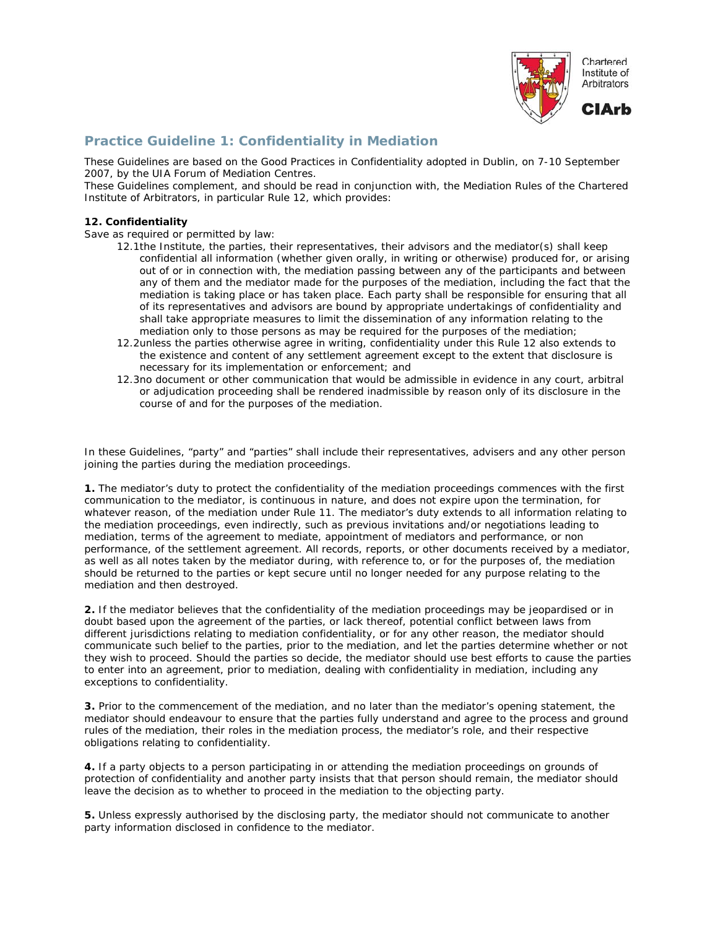

## **Practice Guideline 1: Confidentiality in Mediation**

These Guidelines are based on the Good Practices in Confidentiality adopted in Dublin, on 7-10 September 2007, by the UIA Forum of Mediation Centres.

These Guidelines complement, and should be read in conjunction with, the Mediation Rules of the Chartered Institute of Arbitrators, in particular Rule 12, which provides:

## **12. Confidentiality**

Save as required or permitted by law:

- 12.1the Institute, the parties, their representatives, their advisors and the mediator(s) shall keep confidential all information (whether given orally, in writing or otherwise) produced for, or arising out of or in connection with, the mediation passing between any of the participants and between any of them and the mediator made for the purposes of the mediation, including the fact that the mediation is taking place or has taken place. Each party shall be responsible for ensuring that all of its representatives and advisors are bound by appropriate undertakings of confidentiality and shall take appropriate measures to limit the dissemination of any information relating to the mediation only to those persons as may be required for the purposes of the mediation;
- 12.2unless the parties otherwise agree in writing, confidentiality under this Rule 12 also extends to the existence and content of any settlement agreement except to the extent that disclosure is necessary for its implementation or enforcement; and
- 12.3no document or other communication that would be admissible in evidence in any court, arbitral or adjudication proceeding shall be rendered inadmissible by reason only of its disclosure in the course of and for the purposes of the mediation.

In these Guidelines, "party" and "parties" shall include their representatives, advisers and any other person joining the parties during the mediation proceedings.

**1.** The mediator's duty to protect the confidentiality of the mediation proceedings commences with the first communication to the mediator, is continuous in nature, and does not expire upon the termination, for whatever reason, of the mediation under Rule 11. The mediator's duty extends to all information relating to the mediation proceedings, even indirectly, such as previous invitations and/or negotiations leading to mediation, terms of the agreement to mediate, appointment of mediators and performance, or non performance, of the settlement agreement. All records, reports, or other documents received by a mediator, as well as all notes taken by the mediator during, with reference to, or for the purposes of, the mediation should be returned to the parties or kept secure until no longer needed for any purpose relating to the mediation and then destroyed.

**2.** If the mediator believes that the confidentiality of the mediation proceedings may be jeopardised or in doubt based upon the agreement of the parties, or lack thereof, potential conflict between laws from different jurisdictions relating to mediation confidentiality, or for any other reason, the mediator should communicate such belief to the parties, prior to the mediation, and let the parties determine whether or not they wish to proceed. Should the parties so decide, the mediator should use best efforts to cause the parties to enter into an agreement, prior to mediation, dealing with confidentiality in mediation, including any exceptions to confidentiality.

**3.** Prior to the commencement of the mediation, and no later than the mediator's opening statement, the mediator should endeavour to ensure that the parties fully understand and agree to the process and ground rules of the mediation, their roles in the mediation process, the mediator's role, and their respective obligations relating to confidentiality.

**4.** If a party objects to a person participating in or attending the mediation proceedings on grounds of protection of confidentiality and another party insists that that person should remain, the mediator should leave the decision as to whether to proceed in the mediation to the objecting party.

**5.** Unless expressly authorised by the disclosing party, the mediator should not communicate to another party information disclosed in confidence to the mediator.